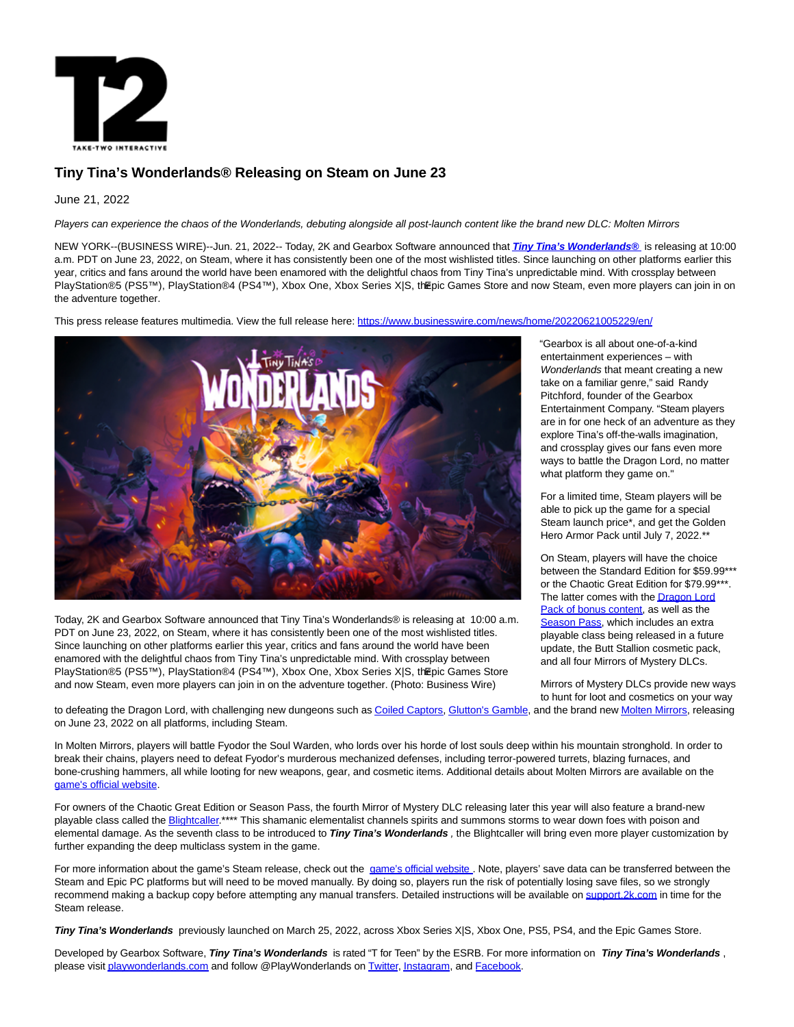

# **Tiny Tina's Wonderlands® Releasing on Steam on June 23**

# June 21, 2022

Players can experience the chaos of the Wonderlands, debuting alongside all post-launch content like the brand new DLC: Molten Mirrors

NEW YORK--(BUSINESS WIRE)--Jun. 21, 2022-- Today, 2K and Gearbox Software announced that **[Tiny Tina's Wonderlands®](https://cts.businesswire.com/ct/CT?id=smartlink&url=https%3A%2F%2Fplaywonderlands.2k.com%2F&esheet=52755216&newsitemid=20220621005229&lan=en-US&anchor=Tiny+Tina%26%238217%3Bs+Wonderlands%26%23174%3B&index=1&md5=6b91f47e3b8554eccba16553785762aa)** is releasing at 10:00 a.m. PDT on June 23, 2022, on Steam, where it has consistently been one of the most wishlisted titles. Since launching on other platforms earlier this year, critics and fans around the world have been enamored with the delightful chaos from Tiny Tina's unpredictable mind. With crossplay between PlayStation®5 (PS5™), PlayStation®4 (PS4™), Xbox One, Xbox Series X|S, the pic Games Store and now Steam, even more players can join in on the adventure together.

This press release features multimedia. View the full release here:<https://www.businesswire.com/news/home/20220621005229/en/>



Today, 2K and Gearbox Software announced that Tiny Tina's Wonderlands® is releasing at 10:00 a.m. PDT on June 23, 2022, on Steam, where it has consistently been one of the most wishlisted titles. Since launching on other platforms earlier this year, critics and fans around the world have been enamored with the delightful chaos from Tiny Tina's unpredictable mind. With crossplay between PlayStation®5 (PS5™), PlayStation®4 (PS4™), Xbox One, Xbox Series X|S, the pic Games Store and now Steam, even more players can join in on the adventure together. (Photo: Business Wire)

"Gearbox is all about one-of-a-kind entertainment experiences – with Wonderlands that meant creating a new take on a familiar genre," said Randy Pitchford, founder of the Gearbox Entertainment Company. "Steam players are in for one heck of an adventure as they explore Tina's off-the-walls imagination, and crossplay gives our fans even more ways to battle the Dragon Lord, no matter what platform they game on."

For a limited time, Steam players will be able to pick up the game for a special Steam launch price\*, and get the Golden Hero Armor Pack until July 7, 2022.\*\*

On Steam, players will have the choice between the Standard Edition for \$59.99\*\*\* or the Chaotic Great Edition for \$79.99\*\*\*. The [latter comes with the Dragon Lord](https://cts.businesswire.com/ct/CT?id=smartlink&url=https%3A%2F%2Fplaywonderlands.2k.com%2Fnews%2Ftiny-tinas-wonderlands-faq%2F&esheet=52755216&newsitemid=20220621005229&lan=en-US&anchor=Dragon+Lord+Pack+of+bonus+content&index=2&md5=c72ec3ae5c819604509835c6e4e16793) Pack of bonus content, as well as the [Season Pass,](https://cts.businesswire.com/ct/CT?id=smartlink&url=https%3A%2F%2Fplaywonderlands.2k.com%2Fseason-pass%2F&esheet=52755216&newsitemid=20220621005229&lan=en-US&anchor=Season+Pass&index=3&md5=5c7fc342a2b6646e506b465b74c4b0ca) which includes an extra playable class being released in a future update, the Butt Stallion cosmetic pack, and all four Mirrors of Mystery DLCs.

Mirrors of Mystery DLCs provide new ways to hunt for loot and cosmetics on your way

to defeating the Dragon Lord, with challenging new dungeons such a[s Coiled Captors,](https://cts.businesswire.com/ct/CT?id=smartlink&url=https%3A%2F%2Fplaywonderlands.2k.com%2Fnews%2Ftiny-tinas-wonderlands-coiled-captors%2F&esheet=52755216&newsitemid=20220621005229&lan=en-US&anchor=Coiled+Captors&index=4&md5=7d0dc0c56c4ea935713c0217943c3db8) [Glutton's Gamble,](https://cts.businesswire.com/ct/CT?id=smartlink&url=https%3A%2F%2Fplaywonderlands.2k.com%2Fnews%2Ftiny-tinas-wonderlands-gluttons-gamble%2F&esheet=52755216&newsitemid=20220621005229&lan=en-US&anchor=Glutton%27s+Gamble&index=5&md5=9e704f9eefb9050430f7e7d39b297fd6) and the brand ne[w Molten Mirrors,](https://cts.businesswire.com/ct/CT?id=smartlink&url=https%3A%2F%2Fplaywonderlands.2k.com%2Fnews%2Ftiny-tinas-wonderlands-molten-mirrors%2F&esheet=52755216&newsitemid=20220621005229&lan=en-US&anchor=Molten+Mirrors&index=6&md5=9a96aba4b7f92569fd256d90c9c71e68) releasing on June 23, 2022 on all platforms, including Steam.

In Molten Mirrors, players will battle Fyodor the Soul Warden, who lords over his horde of lost souls deep within his mountain stronghold. In order to break their chains, players need to defeat Fyodor's murderous mechanized defenses, including terror-powered turrets, blazing furnaces, and bone-crushing hammers, all while looting for new weapons, gear, and cosmetic items. Additional details about Molten Mirrors are available on the [game's official website.](https://cts.businesswire.com/ct/CT?id=smartlink&url=https%3A%2F%2Fwww.google.com%2Furl%3Fq%3Dhttps%3A%2F%2Fplaywonderlands.2k.com%2Fnews%2Ftiny-tinas-wonderlands-molten-mirrors%2F%26sa%3DD%26source%3Ddocs%26ust%3D1654544380791984%26usg%3DAOvVaw2xKThcAjpAcbkE4QOT5KG7&esheet=52755216&newsitemid=20220621005229&lan=en-US&anchor=game%27s+official+website&index=7&md5=738dbe153028b658c4ccb0a331283945)

For owners of the Chaotic Great Edition or Season Pass, the fourth Mirror of Mystery DLC releasing later this year will also feature a brand-new playable class called the Blightcaller \*\*\*\* This shamanic elementalist channels spirits and summons storms to wear down foes with poison and elemental damage. As the seventh class to be introduced to **Tiny Tina's Wonderlands** , the Blightcaller will bring even more player customization by further expanding the deep multiclass system in the game.

For more information about the game's Steam release, check out the [game's official website](https://cts.businesswire.com/ct/CT?id=smartlink&url=https%3A%2F%2Fplaywonderlands.2k.com%2Fnews%2Ftiny-tinas-wonderlands-steam-faq%2F&esheet=52755216&newsitemid=20220621005229&lan=en-US&anchor=game%26%238217%3Bs+official+website&index=9&md5=97d3e56284afd90ac618956975334a96). Note, players' save data can be transferred between the Steam and Epic PC platforms but will need to be moved manually. By doing so, players run the risk of potentially losing save files, so we strongly recommend making a backup copy before attempting any manual transfers. Detailed instructions will be available on support. 2k.com in time for the Steam release.

**Tiny Tina's Wonderlands** previously launched on March 25, 2022, across Xbox Series X|S, Xbox One, PS5, PS4, and the Epic Games Store.

Developed by Gearbox Software, **Tiny Tina's Wonderlands** is rated "T for Teen" by the ESRB. For more information on **Tiny Tina's Wonderlands** , please visi[t playwonderlands.com a](https://cts.businesswire.com/ct/CT?id=smartlink&url=https%3A%2F%2Fplaywonderlands.2k.com%2F&esheet=52755216&newsitemid=20220621005229&lan=en-US&anchor=playwonderlands.com&index=11&md5=fbf25223a5660cd22547242a90666674)nd follow @PlayWonderlands o[n Twitter,](https://cts.businesswire.com/ct/CT?id=smartlink&url=https%3A%2F%2Ftwitter.com%2Fplaywonderlands&esheet=52755216&newsitemid=20220621005229&lan=en-US&anchor=Twitter&index=12&md5=9d4802c58bf7c211d5e7a47f7deeef1b) [Instagram,](https://cts.businesswire.com/ct/CT?id=smartlink&url=https%3A%2F%2Fwww.instagram.com%2Fplaywonderlands%2F&esheet=52755216&newsitemid=20220621005229&lan=en-US&anchor=Instagram&index=13&md5=4064b9ad422fd3c06453ce43bdac1e84) and [Facebook.](https://cts.businesswire.com/ct/CT?id=smartlink&url=https%3A%2F%2Fwww.facebook.com%2Fplaywonderlands&esheet=52755216&newsitemid=20220621005229&lan=en-US&anchor=Facebook&index=14&md5=e4a0870314b8802f9e33d942a518bbfd)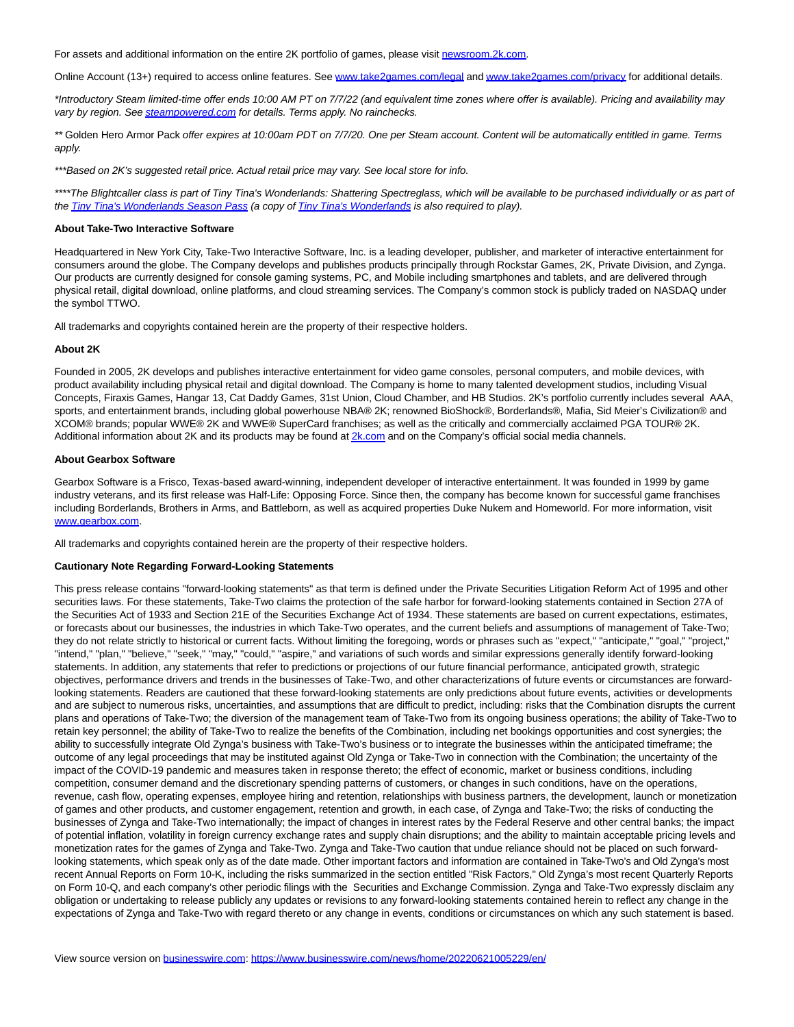For assets and additional information on the entire 2K portfolio of games, please visit [newsroom.2k.com.](https://cts.businesswire.com/ct/CT?id=smartlink&url=https%3A%2F%2Fnewsroom.2k.com%2F&esheet=52755216&newsitemid=20220621005229&lan=en-US&anchor=newsroom.2k.com&index=15&md5=500275210952954612028b76b0507c4a)

Online Account (13+) required to access online features. See [www.take2games.com/legal a](https://cts.businesswire.com/ct/CT?id=smartlink&url=http%3A%2F%2Fwww.take2games.com%2Flegal&esheet=52755216&newsitemid=20220621005229&lan=en-US&anchor=www.take2games.com%2Flegal&index=16&md5=ec50b8c16eb7a348c3aff6ca03b431b8)n[d www.take2games.com/privacy f](https://cts.businesswire.com/ct/CT?id=smartlink&url=http%3A%2F%2Fwww.take2games.com%2Fprivacy&esheet=52755216&newsitemid=20220621005229&lan=en-US&anchor=www.take2games.com%2Fprivacy&index=17&md5=37bf3b23ad69dde2f1ae3d354adea456)or additional details.

\*Introductory Steam limited-time offer ends 10:00 AM PT on 7/7/22 (and equivalent time zones where offer is available). Pricing and availability may vary by region. Se[e steampowered.com f](http://steampowered.com/)or details. Terms apply. No rainchecks.

\*\* Golden Hero Armor Pack offer expires at 10:00am PDT on 7/7/20. One per Steam account. Content will be automatically entitled in game. Terms apply.

\*\*\*Based on 2K's suggested retail price. Actual retail price may vary. See local store for info.

\*\*\*\*The Blightcaller class is part of Tiny Tina's Wonderlands: Shattering Spectreglass, which will be available to be purchased individually or as part of the Tiny Tina's [Wonderlands Season Pass \(](https://cts.businesswire.com/ct/CT?id=smartlink&url=https%3A%2F%2Fplaywonderlands.2k.com%2Fseason-pass%2F&esheet=52755216&newsitemid=20220621005229&lan=en-US&anchor=Tiny+Tina%27s+Wonderlands+Season+Pass&index=18&md5=3137e798e91f643d270308153b717bcd)a copy of [Tiny Tina's Wonderlands i](https://cts.businesswire.com/ct/CT?id=smartlink&url=https%3A%2F%2Fplaywonderlands.2k.com%2Fbuy%2F&esheet=52755216&newsitemid=20220621005229&lan=en-US&anchor=Tiny+Tina%27s+Wonderlands&index=19&md5=626def86a9a42ad6fe104b1d93a78379)s also required to play).

### **About Take-Two Interactive Software**

Headquartered in New York City, Take-Two Interactive Software, Inc. is a leading developer, publisher, and marketer of interactive entertainment for consumers around the globe. The Company develops and publishes products principally through Rockstar Games, 2K, Private Division, and Zynga. Our products are currently designed for console gaming systems, PC, and Mobile including smartphones and tablets, and are delivered through physical retail, digital download, online platforms, and cloud streaming services. The Company's common stock is publicly traded on NASDAQ under the symbol TTWO.

All trademarks and copyrights contained herein are the property of their respective holders.

#### **About 2K**

Founded in 2005, 2K develops and publishes interactive entertainment for video game consoles, personal computers, and mobile devices, with product availability including physical retail and digital download. The Company is home to many talented development studios, including Visual Concepts, Firaxis Games, Hangar 13, Cat Daddy Games, 31st Union, Cloud Chamber, and HB Studios. 2K's portfolio currently includes several AAA, sports, and entertainment brands, including global powerhouse NBA® 2K; renowned BioShock®, Borderlands®, Mafia, Sid Meier's Civilization® and XCOM® brands; popular WWE® 2K and WWE® SuperCard franchises; as well as the critically and commercially acclaimed PGA TOUR® 2K. Additional information about 2K and its products may be found at **2k.com** and on the Company's official social media channels.

#### **About Gearbox Software**

Gearbox Software is a Frisco, Texas-based award-winning, independent developer of interactive entertainment. It was founded in 1999 by game industry veterans, and its first release was Half-Life: Opposing Force. Since then, the company has become known for successful game franchises including Borderlands, Brothers in Arms, and Battleborn, as well as acquired properties Duke Nukem and Homeworld. For more information, visit [www.gearbox.com.](https://cts.businesswire.com/ct/CT?id=smartlink&url=http%3A%2F%2Fwww.gearbox.com&esheet=52755216&newsitemid=20220621005229&lan=en-US&anchor=www.gearbox.com&index=21&md5=475158cff8dda06af84ec6c9c4f60b2b)

All trademarks and copyrights contained herein are the property of their respective holders.

## **Cautionary Note Regarding Forward-Looking Statements**

This press release contains "forward-looking statements" as that term is defined under the Private Securities Litigation Reform Act of 1995 and other securities laws. For these statements, Take-Two claims the protection of the safe harbor for forward-looking statements contained in Section 27A of the Securities Act of 1933 and Section 21E of the Securities Exchange Act of 1934. These statements are based on current expectations, estimates, or forecasts about our businesses, the industries in which Take-Two operates, and the current beliefs and assumptions of management of Take-Two; they do not relate strictly to historical or current facts. Without limiting the foregoing, words or phrases such as "expect," "anticipate," "goal," "project," "intend," "plan," "believe," "seek," "may," "could," "aspire," and variations of such words and similar expressions generally identify forward-looking statements. In addition, any statements that refer to predictions or projections of our future financial performance, anticipated growth, strategic objectives, performance drivers and trends in the businesses of Take-Two, and other characterizations of future events or circumstances are forwardlooking statements. Readers are cautioned that these forward-looking statements are only predictions about future events, activities or developments and are subject to numerous risks, uncertainties, and assumptions that are difficult to predict, including: risks that the Combination disrupts the current plans and operations of Take-Two; the diversion of the management team of Take-Two from its ongoing business operations; the ability of Take-Two to retain key personnel; the ability of Take-Two to realize the benefits of the Combination, including net bookings opportunities and cost synergies; the ability to successfully integrate Old Zynga's business with Take-Two's business or to integrate the businesses within the anticipated timeframe; the outcome of any legal proceedings that may be instituted against Old Zynga or Take-Two in connection with the Combination; the uncertainty of the impact of the COVID-19 pandemic and measures taken in response thereto; the effect of economic, market or business conditions, including competition, consumer demand and the discretionary spending patterns of customers, or changes in such conditions, have on the operations, revenue, cash flow, operating expenses, employee hiring and retention, relationships with business partners, the development, launch or monetization of games and other products, and customer engagement, retention and growth, in each case, of Zynga and Take-Two; the risks of conducting the businesses of Zynga and Take-Two internationally; the impact of changes in interest rates by the Federal Reserve and other central banks; the impact of potential inflation, volatility in foreign currency exchange rates and supply chain disruptions; and the ability to maintain acceptable pricing levels and monetization rates for the games of Zynga and Take-Two. Zynga and Take-Two caution that undue reliance should not be placed on such forwardlooking statements, which speak only as of the date made. Other important factors and information are contained in Take-Two's and Old Zynga's most recent Annual Reports on Form 10-K, including the risks summarized in the section entitled "Risk Factors," Old Zynga's most recent Quarterly Reports on Form 10-Q, and each company's other periodic filings with the Securities and Exchange Commission. Zynga and Take-Two expressly disclaim any obligation or undertaking to release publicly any updates or revisions to any forward-looking statements contained herein to reflect any change in the expectations of Zynga and Take-Two with regard thereto or any change in events, conditions or circumstances on which any such statement is based.